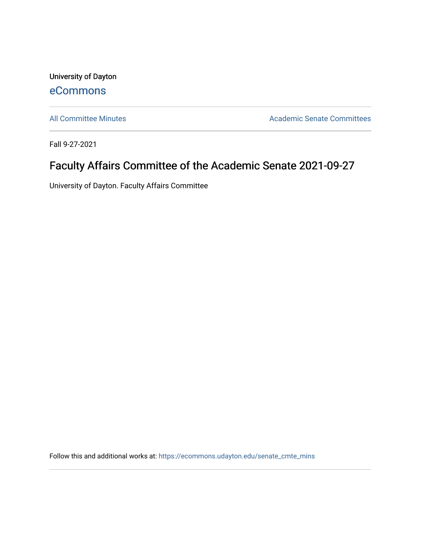University of Dayton [eCommons](https://ecommons.udayton.edu/)

[All Committee Minutes](https://ecommons.udayton.edu/senate_cmte_mins) **Academic Senate Committees** 

Fall 9-27-2021

## Faculty Affairs Committee of the Academic Senate 2021-09-27

University of Dayton. Faculty Affairs Committee

Follow this and additional works at: [https://ecommons.udayton.edu/senate\\_cmte\\_mins](https://ecommons.udayton.edu/senate_cmte_mins?utm_source=ecommons.udayton.edu%2Fsenate_cmte_mins%2F462&utm_medium=PDF&utm_campaign=PDFCoverPages)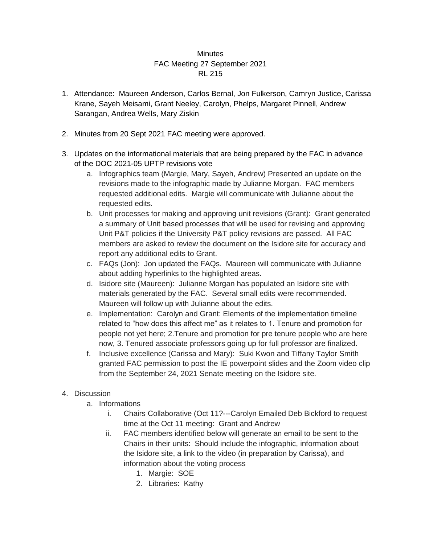## **Minutes** FAC Meeting 27 September 2021 RL 215

- 1. Attendance: Maureen Anderson, Carlos Bernal, Jon Fulkerson, Camryn Justice, Carissa Krane, Sayeh Meisami, Grant Neeley, Carolyn, Phelps, Margaret Pinnell, Andrew Sarangan, Andrea Wells, Mary Ziskin
- 2. Minutes from 20 Sept 2021 FAC meeting were approved.
- 3. Updates on the informational materials that are being prepared by the FAC in advance of the DOC 2021-05 UPTP revisions vote
	- a. Infographics team (Margie, Mary, Sayeh, Andrew) Presented an update on the revisions made to the infographic made by Julianne Morgan. FAC members requested additional edits. Margie will communicate with Julianne about the requested edits.
	- b. Unit processes for making and approving unit revisions (Grant): Grant generated a summary of Unit based processes that will be used for revising and approving Unit P&T policies if the University P&T policy revisions are passed. All FAC members are asked to review the document on the Isidore site for accuracy and report any additional edits to Grant.
	- c. FAQs (Jon): Jon updated the FAQs. Maureen will communicate with Julianne about adding hyperlinks to the highlighted areas.
	- d. Isidore site (Maureen): Julianne Morgan has populated an Isidore site with materials generated by the FAC. Several small edits were recommended. Maureen will follow up with Julianne about the edits.
	- e. Implementation: Carolyn and Grant: Elements of the implementation timeline related to "how does this affect me" as it relates to 1. Tenure and promotion for people not yet here; 2.Tenure and promotion for pre tenure people who are here now, 3. Tenured associate professors going up for full professor are finalized.
	- f. Inclusive excellence (Carissa and Mary): Suki Kwon and Tiffany Taylor Smith granted FAC permission to post the IE powerpoint slides and the Zoom video clip from the September 24, 2021 Senate meeting on the Isidore site.

## 4. Discussion

- a. Informations
	- i. Chairs Collaborative (Oct 11?---Carolyn Emailed Deb Bickford to request time at the Oct 11 meeting: Grant and Andrew
	- ii. FAC members identified below will generate an email to be sent to the Chairs in their units: Should include the infographic, information about the Isidore site, a link to the video (in preparation by Carissa), and information about the voting process
		- 1. Margie: SOE
		- 2. Libraries: Kathy